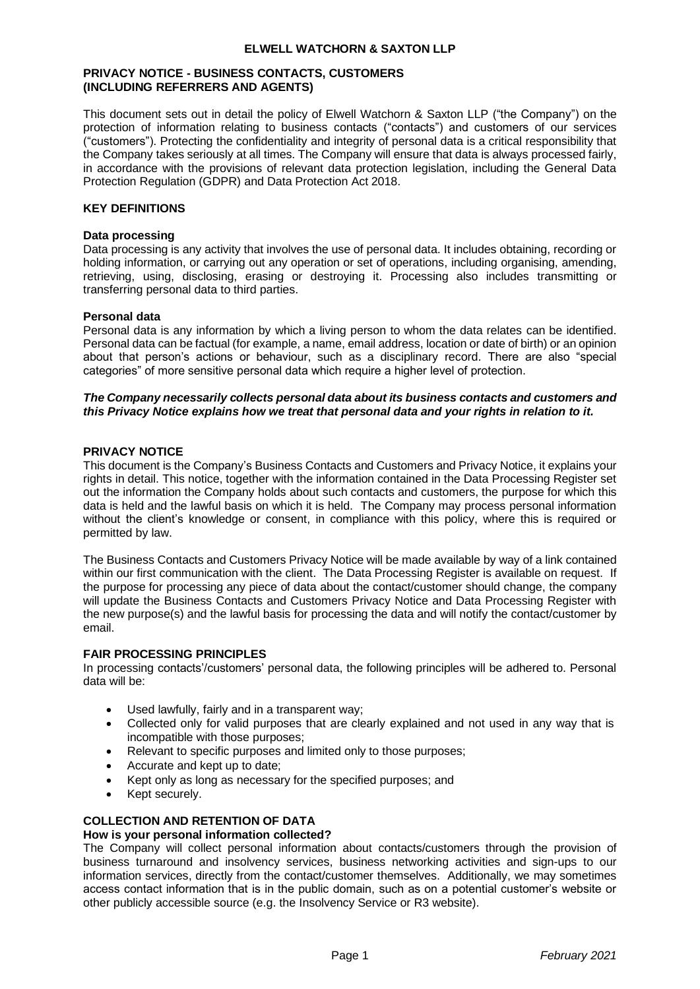### **ELWELL WATCHORN & SAXTON LLP**

### **PRIVACY NOTICE - BUSINESS CONTACTS, CUSTOMERS (INCLUDING REFERRERS AND AGENTS)**

This document sets out in detail the policy of Elwell Watchorn & Saxton LLP ("the Company") on the protection of information relating to business contacts ("contacts") and customers of our services ("customers"). Protecting the confidentiality and integrity of personal data is a critical responsibility that the Company takes seriously at all times. The Company will ensure that data is always processed fairly, in accordance with the provisions of relevant data protection legislation, including the General Data Protection Regulation (GDPR) and Data Protection Act 2018.

## **KEY DEFINITIONS**

### **Data processing**

Data processing is any activity that involves the use of personal data. It includes obtaining, recording or holding information, or carrying out any operation or set of operations, including organising, amending, retrieving, using, disclosing, erasing or destroying it. Processing also includes transmitting or transferring personal data to third parties.

### **Personal data**

Personal data is any information by which a living person to whom the data relates can be identified. Personal data can be factual (for example, a name, email address, location or date of birth) or an opinion about that person's actions or behaviour, such as a disciplinary record. There are also "special categories" of more sensitive personal data which require a higher level of protection.

## *The Company necessarily collects personal data about its business contacts and customers and this Privacy Notice explains how we treat that personal data and your rights in relation to it.*

### **PRIVACY NOTICE**

This document is the Company's Business Contacts and Customers and Privacy Notice, it explains your rights in detail. This notice, together with the information contained in the Data Processing Register set out the information the Company holds about such contacts and customers, the purpose for which this data is held and the lawful basis on which it is held. The Company may process personal information without the client's knowledge or consent, in compliance with this policy, where this is required or permitted by law.

The Business Contacts and Customers Privacy Notice will be made available by way of a link contained within our first communication with the client. The Data Processing Register is available on request. If the purpose for processing any piece of data about the contact/customer should change, the company will update the Business Contacts and Customers Privacy Notice and Data Processing Register with the new purpose(s) and the lawful basis for processing the data and will notify the contact/customer by email.

## **FAIR PROCESSING PRINCIPLES**

In processing contacts'/customers' personal data, the following principles will be adhered to. Personal data will be:

- Used lawfully, fairly and in a transparent way;
- Collected only for valid purposes that are clearly explained and not used in any way that is incompatible with those purposes;
- Relevant to specific purposes and limited only to those purposes;
- Accurate and kept up to date;
- Kept only as long as necessary for the specified purposes; and
- Kept securely.

# **COLLECTION AND RETENTION OF DATA**

## **How is your personal information collected?**

The Company will collect personal information about contacts/customers through the provision of business turnaround and insolvency services, business networking activities and sign-ups to our information services, directly from the contact/customer themselves. Additionally, we may sometimes access contact information that is in the public domain, such as on a potential customer's website or other publicly accessible source (e.g. the Insolvency Service or R3 website).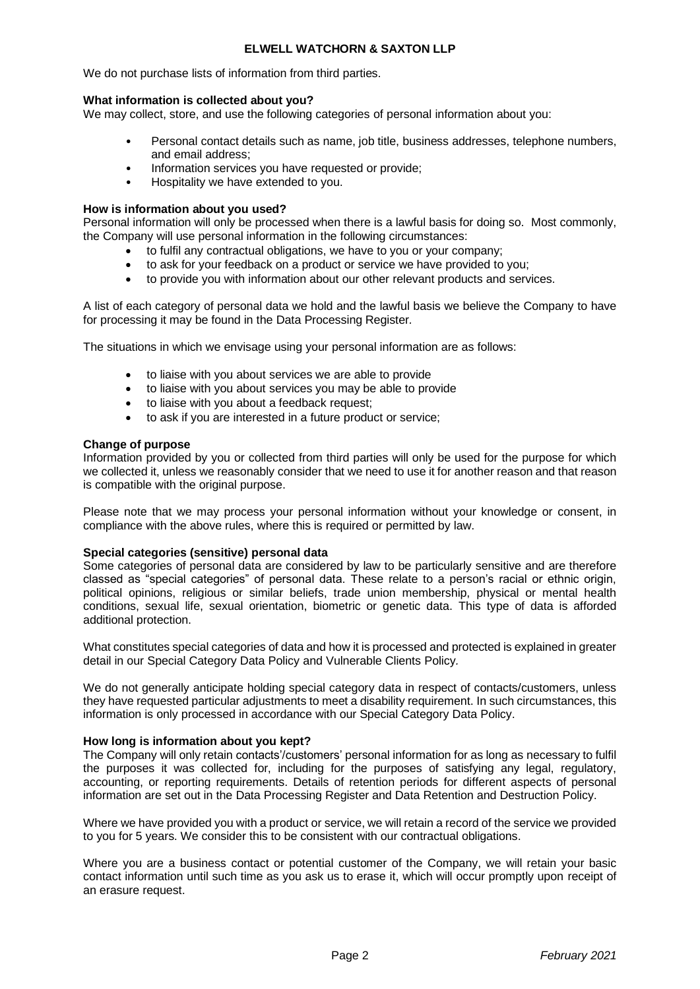## **ELWELL WATCHORN & SAXTON LLP**

We do not purchase lists of information from third parties.

### **What information is collected about you?**

We may collect, store, and use the following categories of personal information about you:

- Personal contact details such as name, job title, business addresses, telephone numbers, and email address;
- Information services you have requested or provide;
- Hospitality we have extended to you.

### **How is information about you used?**

Personal information will only be processed when there is a lawful basis for doing so. Most commonly, the Company will use personal information in the following circumstances:

- to fulfil any contractual obligations, we have to you or your company;
- to ask for your feedback on a product or service we have provided to you;
- to provide you with information about our other relevant products and services.

A list of each category of personal data we hold and the lawful basis we believe the Company to have for processing it may be found in the Data Processing Register*.*

The situations in which we envisage using your personal information are as follows:

- to liaise with you about services we are able to provide
- to liaise with you about services you may be able to provide
- to liaise with you about a feedback request;
- to ask if you are interested in a future product or service;

### **Change of purpose**

Information provided by you or collected from third parties will only be used for the purpose for which we collected it, unless we reasonably consider that we need to use it for another reason and that reason is compatible with the original purpose.

Please note that we may process your personal information without your knowledge or consent, in compliance with the above rules, where this is required or permitted by law.

### **Special categories (sensitive) personal data**

Some categories of personal data are considered by law to be particularly sensitive and are therefore classed as "special categories" of personal data. These relate to a person's racial or ethnic origin, political opinions, religious or similar beliefs, trade union membership, physical or mental health conditions, sexual life, sexual orientation, biometric or genetic data. This type of data is afforded additional protection.

What constitutes special categories of data and how it is processed and protected is explained in greater detail in our Special Category Data Policy and Vulnerable Clients Policy*.*

We do not generally anticipate holding special category data in respect of contacts/customers, unless they have requested particular adjustments to meet a disability requirement. In such circumstances, this information is only processed in accordance with our Special Category Data Policy.

### **How long is information about you kept?**

The Company will only retain contacts'/customers' personal information for as long as necessary to fulfil the purposes it was collected for, including for the purposes of satisfying any legal, regulatory, accounting, or reporting requirements. Details of retention periods for different aspects of personal information are set out in the Data Processing Register and Data Retention and Destruction Policy.

Where we have provided you with a product or service, we will retain a record of the service we provided to you for 5 years. We consider this to be consistent with our contractual obligations.

Where you are a business contact or potential customer of the Company, we will retain your basic contact information until such time as you ask us to erase it, which will occur promptly upon receipt of an erasure request.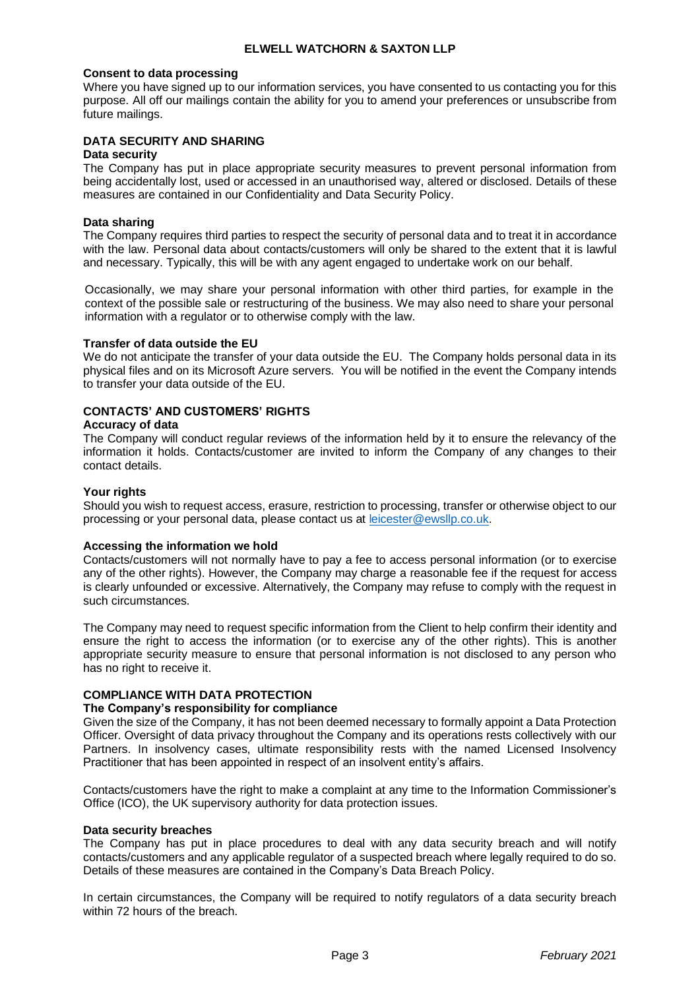### **Consent to data processing**

Where you have signed up to our information services, you have consented to us contacting you for this purpose. All off our mailings contain the ability for you to amend your preferences or unsubscribe from future mailings.

# **DATA SECURITY AND SHARING**

## **Data security**

The Company has put in place appropriate security measures to prevent personal information from being accidentally lost, used or accessed in an unauthorised way, altered or disclosed. Details of these measures are contained in our Confidentiality and Data Security Policy.

### **Data sharing**

The Company requires third parties to respect the security of personal data and to treat it in accordance with the law. Personal data about contacts/customers will only be shared to the extent that it is lawful and necessary. Typically, this will be with any agent engaged to undertake work on our behalf.

Occasionally, we may share your personal information with other third parties, for example in the context of the possible sale or restructuring of the business. We may also need to share your personal information with a regulator or to otherwise comply with the law.

### **Transfer of data outside the EU**

We do not anticipate the transfer of your data outside the EU. The Company holds personal data in its physical files and on its Microsoft Azure servers. You will be notified in the event the Company intends to transfer your data outside of the EU.

# **CONTACTS' AND CUSTOMERS' RIGHTS**

## **Accuracy of data**

The Company will conduct regular reviews of the information held by it to ensure the relevancy of the information it holds. Contacts/customer are invited to inform the Company of any changes to their contact details.

### **Your rights**

Should you wish to request access, erasure, restriction to processing, transfer or otherwise object to our processing or your personal data, please contact us at [leicester@ewsllp.co.uk.](mailto:leicester@ewsllp.co.uk)

## **Accessing the information we hold**

Contacts/customers will not normally have to pay a fee to access personal information (or to exercise any of the other rights). However, the Company may charge a reasonable fee if the request for access is clearly unfounded or excessive. Alternatively, the Company may refuse to comply with the request in such circumstances.

The Company may need to request specific information from the Client to help confirm their identity and ensure the right to access the information (or to exercise any of the other rights). This is another appropriate security measure to ensure that personal information is not disclosed to any person who has no right to receive it.

## **COMPLIANCE WITH DATA PROTECTION**

### **The Company's responsibility for compliance**

Given the size of the Company, it has not been deemed necessary to formally appoint a Data Protection Officer. Oversight of data privacy throughout the Company and its operations rests collectively with our Partners. In insolvency cases, ultimate responsibility rests with the named Licensed Insolvency Practitioner that has been appointed in respect of an insolvent entity's affairs.

Contacts/customers have the right to make a complaint at any time to the Information Commissioner's Office (ICO), the UK supervisory authority for data protection issues.

### **Data security breaches**

The Company has put in place procedures to deal with any data security breach and will notify contacts/customers and any applicable regulator of a suspected breach where legally required to do so. Details of these measures are contained in the Company's Data Breach Policy.

In certain circumstances, the Company will be required to notify regulators of a data security breach within 72 hours of the breach